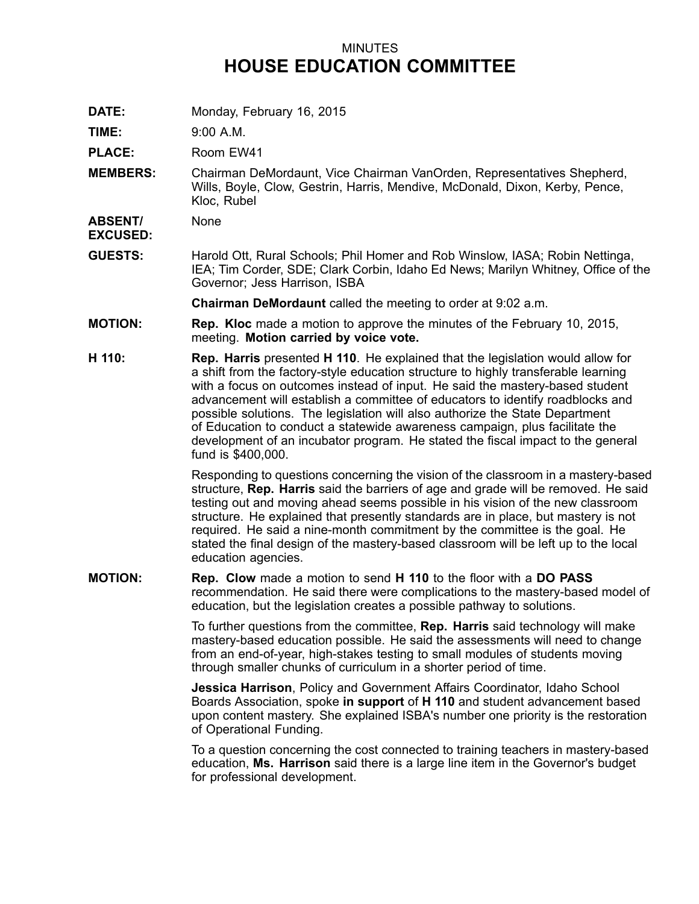## MINUTES **HOUSE EDUCATION COMMITTEE**

**DATE:** Monday, February 16, 2015

**TIME:** 9:00 A.M.

PLACE: Room EW41

**MEMBERS:** Chairman DeMordaunt, Vice Chairman VanOrden, Representatives Shepherd, Wills, Boyle, Clow, Gestrin, Harris, Mendive, McDonald, Dixon, Kerby, Pence, Kloc, Rubel

**ABSENT/ EXCUSED:** None

**GUESTS:** Harold Ott, Rural Schools; Phil Homer and Rob Winslow, IASA; Robin Nettinga, IEA; Tim Corder, SDE; Clark Corbin, Idaho Ed News; Marilyn Whitney, Office of the Governor; Jess Harrison, ISBA

**Chairman DeMordaunt** called the meeting to order at 9:02 a.m.

- **MOTION: Rep. Kloc** made <sup>a</sup> motion to approve the minutes of the February 10, 2015, meeting. **Motion carried by voice vote.**
- **H 110: Rep. Harris** presented **H 110**. He explained that the legislation would allow for <sup>a</sup> shift from the factory-style education structure to highly transferable learning with <sup>a</sup> focus on outcomes instead of input. He said the mastery-based student advancement will establish <sup>a</sup> committee of educators to identify roadblocks and possible solutions. The legislation will also authorize the State Department of Education to conduct <sup>a</sup> statewide awareness campaign, plus facilitate the development of an incubator program. He stated the fiscal impact to the general fund is \$400,000.

Responding to questions concerning the vision of the classroom in <sup>a</sup> mastery-based structure, **Rep. Harris** said the barriers of age and grade will be removed. He said testing out and moving ahead seems possible in his vision of the new classroom structure. He explained that presently standards are in place, but mastery is not required. He said <sup>a</sup> nine-month commitment by the committee is the goal. He stated the final design of the mastery-based classroom will be left up to the local education agencies.

**MOTION: Rep. Clow** made <sup>a</sup> motion to send **H 110** to the floor with <sup>a</sup> **DO PASS** recommendation. He said there were complications to the mastery-based model of education, but the legislation creates <sup>a</sup> possible pathway to solutions.

> To further questions from the committee, **Rep. Harris** said technology will make mastery-based education possible. He said the assessments will need to change from an end-of-year, high-stakes testing to small modules of students moving through smaller chunks of curriculum in <sup>a</sup> shorter period of time.

**Jessica Harrison**, Policy and Government Affairs Coordinator, Idaho School Boards Association, spoke **in support** of **H 110** and student advancement based upon content mastery. She explained ISBA's number one priority is the restoration of Operational Funding.

To <sup>a</sup> question concerning the cost connected to training teachers in mastery-based education, **Ms. Harrison** said there is <sup>a</sup> large line item in the Governor's budget for professional development.